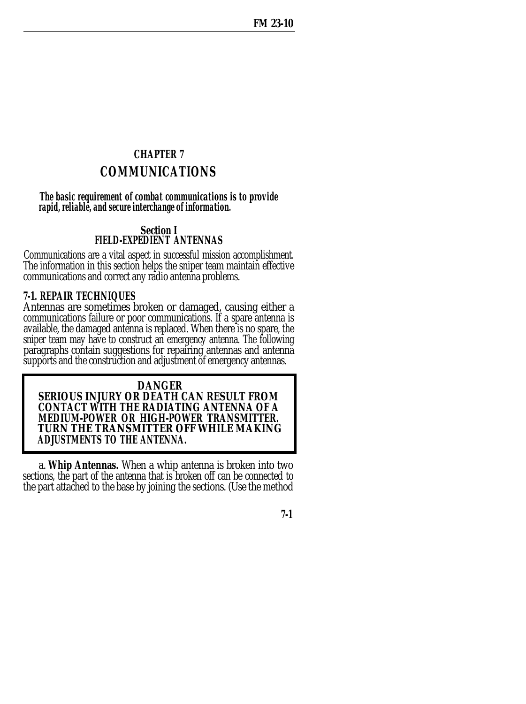# **CHAPTER 7 COMMUNICATIONS**

#### *The basic requirement of combat communications is to provide rapid, reliable, and secure interchange of information.*

### **Section I FIELD-EXPEDIENT ANTENNAS**

Communications are a vital aspect in successful mission accomplishment. The information in this section helps the sniper team maintain effective communications and correct any radio antenna problems.

# **7-1. REPAIR TECHNIQUES**

Antennas are sometimes broken or damaged, causing either a communications failure or poor communications. If a spare antenna is available, the damaged antenna is replaced. When there is no spare, the sniper team may have to construct an emergency antenna. The following paragraphs contain suggestions for repairing antennas and antenna supports and the construction and adjustment of emergency antennas.

#### **DANGER**

**SERIOUS INJURY OR DEATH CAN RESULT FROM CONTACT WITH THE RADIATING ANTENNA OF A MEDIUM-POWER OR HIGH-POWER TRANSMITTER. TURN THE TRANSMITTER OFF WHILE MAKING ADJUSTMENTS TO THE ANTENNA.**

a. **Whip Antennas.** When a whip antenna is broken into two sections, the part of the antenna that is broken off can be connected to the part attached to the base by joining the sections. (Use the method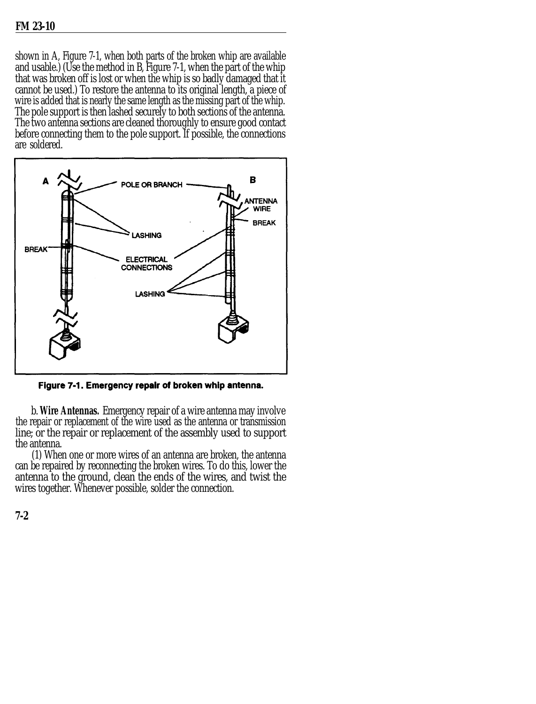shown in A, Figure 7-1, when both parts of the broken whip are available and usable.) (Use the method in B, Figure 7-1, when the part of the whip that was broken off is lost or when the whip is so badly damaged that it cannot be used.) To restore the antenna to its original length, a piece of wire is added that is nearly the same length as the missing part of the whip. The pole support is then lashed securely to both sections of the antenna. The two antenna sections are cleaned thoroughly to ensure good contact before connecting them to the pole support. If possible, the connections are soldered.



Figure 7-1. Emergency repair of broken whip antenna.

b. **Wire Antennas.** Emergency repair of a wire antenna may involve the repair or replacement of the wire used as the antenna or transmission line; or the repair or replacement of the assembly used to support the antenna.

(1) When one or more wires of an antenna are broken, the antenna can be repaired by reconnecting the broken wires. To do this, lower the antenna to the ground, clean the ends of the wires, and twist the wires together. Whenever possible, solder the connection.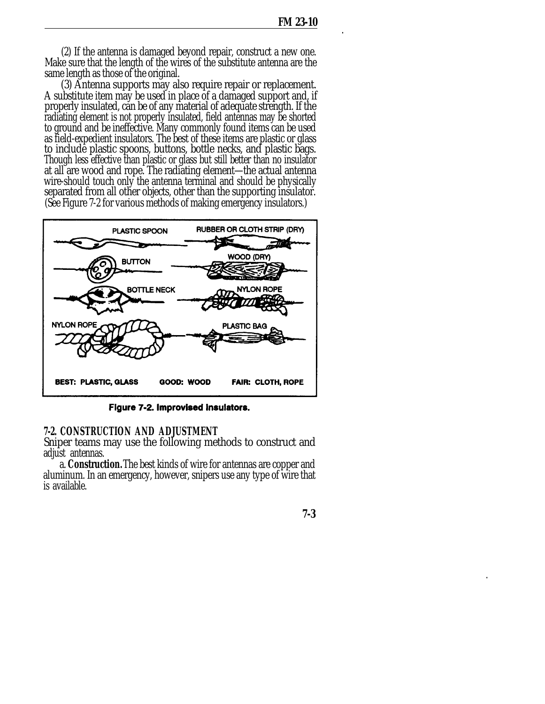.

<span id="page-2-0"></span>(2) If the antenna is damaged beyond repair, construct a new one. Make sure that the length of the wires of the substitute antenna are the same length as those of the original.

(3) Antenna supports may also require repair or replacement. A substitute item may be used in place of a damaged support and, if properly insulated, can be of any material of adequate strength. If the radiating element is not properly insulated, field antennas may be shorted to ground and be ineffective. Many commonly found items can be used as field-expedient insulators. The best of these items are plastic or glass to include plastic spoons, buttons, bottle necks, and plastic bags. Though less effective than plastic or glass but still better than no insulator at all are wood and rope. The radiating element—the actual antenna wire-should touch only the antenna terminal and should be physically separated from all other objects, other than the supporting insulator. (See Figure 7-2 for various methods of making emergency insulators.)



Figure 7-2. Improvised insulators.

### **7-2. CONSTRUCTION AND ADJUSTMENT**

Sniper teams may use the following methods to construct and adjust antennas.

a. **Construction.** The best kinds of wire for antennas are copper and aluminum. In an emergency, however, snipers use any type of wire that is available.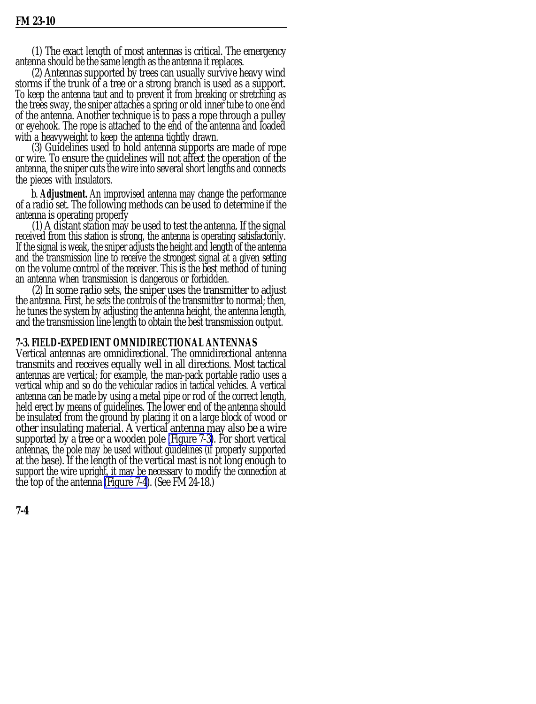(1) The exact length of most antennas is critical. The emergency antenna should be the same length as the antenna it replaces.

(2) Antennas supported by trees can usually survive heavy wind storms if the trunk of a tree or a strong branch is used as a support. To keep the antenna taut and to prevent it from breaking or stretching as the trees sway, the sniper attaches a spring or old inner tube to one end of the antenna. Another technique is to pass a rope through a pulley or eyehook. The rope is attached to the end of the antenna and loaded with a heavyweight to keep the antenna tightly drawn.

(3) Guidelines used to hold antenna supports are made of rope or wire. To ensure the guidelines will not affect the operation of the antenna, the sniper cuts the wire into several short lengths and connects the pieces with insulators.

b. **Adjustment.** An improvised antenna may change the performance of a radio set. The following methods can be used to determine if the antenna is operating properly

(1) A distant station may be used to test the antenna. If the signal received from this station is strong, the antenna is operating satisfactorily. If the signal is weak, the sniper adjusts the height and length of the antenna and the transmission line to receive the strongest signal at a given setting on the volume control of the receiver. This is the best method of tuning an antenna when transmission is dangerous or forbidden.

(2) In some radio sets, the sniper uses the transmitter to adjust the antenna. First, he sets the controls of the transmitter to normal; then, he tunes the system by adjusting the antenna height, the antenna length, and the transmission line length to obtain the best transmission output.

#### **7-3. FIELD-EXPEDIENT OMNIDIRECTIONAL ANTENNAS**

Vertical antennas are omnidirectional. The omnidirectional antenna transmits and receives equally well in all directions. Most tactical antennas are vertical; for example, the man-pack portable radio uses a vertical whip and so do the vehicular radios in tactical vehicles. A vertical antenna can be made by using a metal pipe or rod of the correct length, held erect by means of guidelines. The lower end of the antenna should be insulated from the ground by placing it on a large block of wood or other insulating material. A vertical antenna may also be a wire supported by a tree or a wooden pole [\(Figure 7-3\)](#page-4-0). For short vertical antennas, the pole may be used without guidelines (if properly supported at the base). If the length of the vertical mast is not long enough to support the wire upright, it may be necessary to modify the connection at the top of the antenna [\(Figure 7-4\)](#page-4-0). (See FM 24-18.)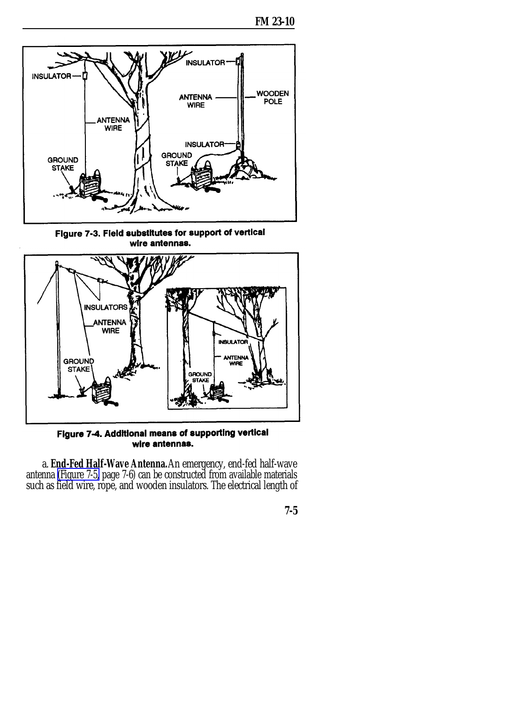<span id="page-4-0"></span>

Figure 7-4. Additional means of supporting vertical wire antennas.

**GROUND STAKE** 

a. **End-Fed Half-Wave Antenna.** An emergency, end-fed half-wave antenna [\(Figure 7-5,](#page-5-0) page 7-6) can be constructed from available materials such as field wire, rope, and wooden insulators. The electrical length of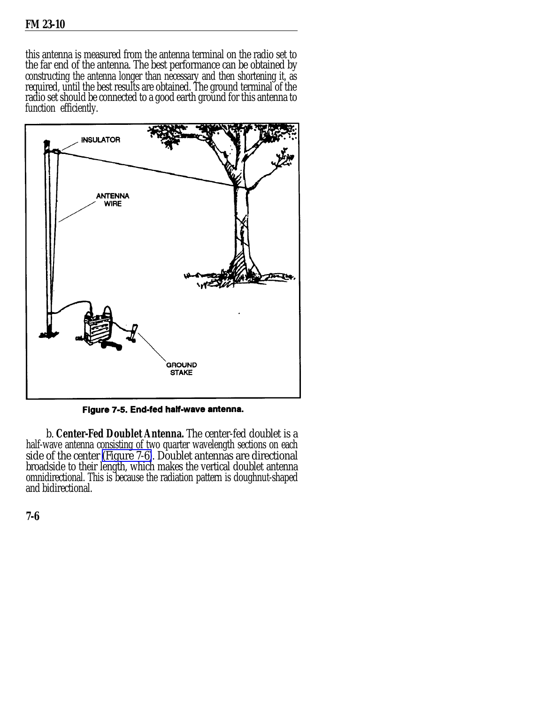<span id="page-5-0"></span>this antenna is measured from the antenna terminal on the radio set to the far end of the antenna. The best performance can be obtained by constructing the antenna longer than necessary and then shortening it, as required, until the best results are obtained. The ground terminal of the radio set should be connected to a good earth ground for this antenna to function efficiently.



Figure 7-5. End-fed half-wave antenna.

b. **Center-Fed Doublet Antenna.** The center-fed doublet is a half-wave antenna consisting of two quarter wavelength sections on each side of the center [\(Figure 7-6\)](#page-6-0). Doublet antennas are directional broadside to their length, which makes the vertical doublet antenna omnidirectional. This is because the radiation pattern is doughnut-shaped and bidirectional.

**7-6**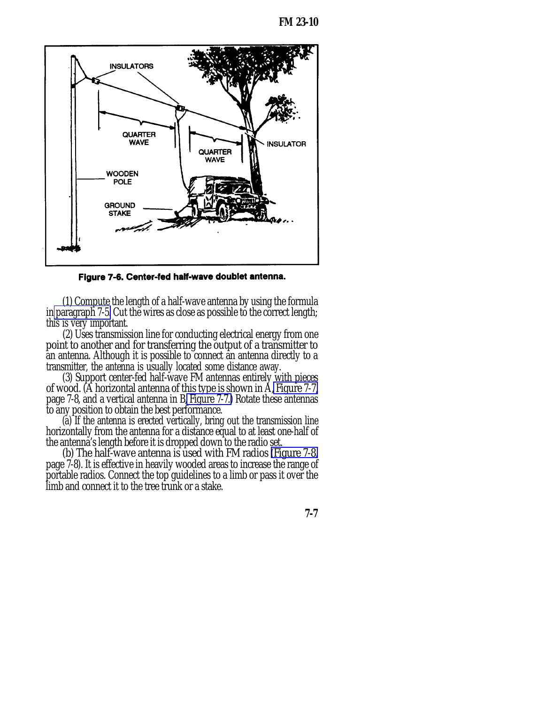<span id="page-6-0"></span>

Figure 7-6, Center-fed half-wave doublet antenna.

(1) Compute the length of a half-wave antenna by using the formula in [paragraph 7-5.](#page-11-0) Cut the wires as close as possible to the correct length; this is very important.

(2) Uses transmission line for conducting electrical energy from one point to another and for transferring the output of a transmitter to an antenna. Although it is possible to connect an antenna directly to a transmitter, the antenna is usually located some distance away.

(3) Support center-fed half-wave FM antennas entirely with pieces of wood. (A horizontal antenna of this type is shown in A, [Figure 7-7,](#page-7-0) page 7-8, and a vertical antenna in B[, Figure 7-7.\)](#page-7-0) Rotate these antennas to any position to obtain the best performance.

(a) If the antenna is erected vertically, bring out the transmission line horizontally from the antenna for a distance equal to at least one-half of the antenna's length before it is dropped down to the radio set.

(b) The half-wave antenna is used with FM radios [\(Figure 7-8,](#page-7-0) page 7-8). It is effective in heavily wooded areas to increase the range of portable radios. Connect the top guidelines to a limb or pass it over the limb and connect it to the tree trunk or a stake.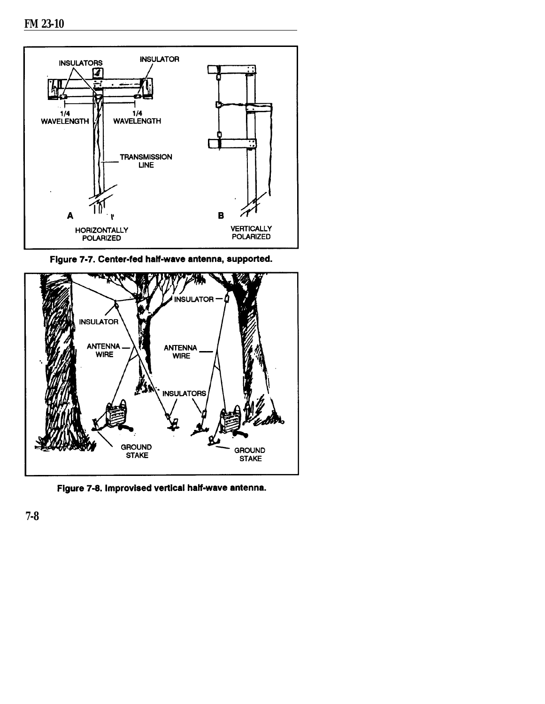<span id="page-7-0"></span>

Figure 7-7. Center-fed half-wave antenna, supported.



Figure 7-8. Improvised vertical half-wave antenna.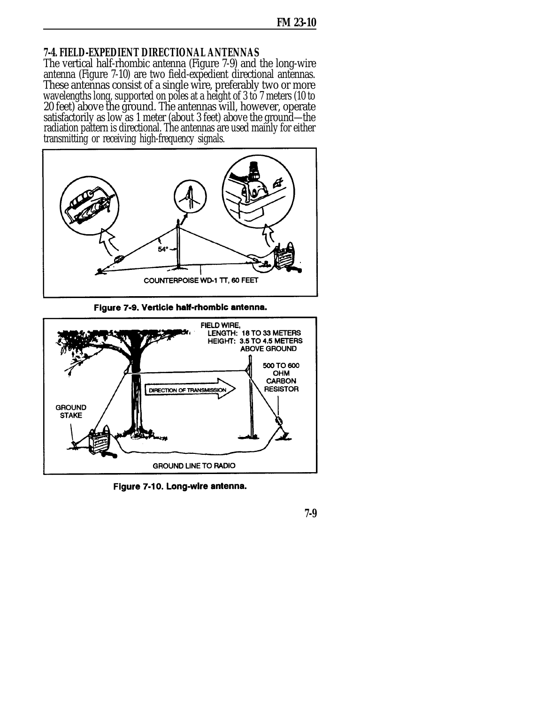## **7-4. FIELD-EXPEDIENT DIRECTIONAL ANTENNAS**

The vertical half-rhombic antenna (Figure 7-9) and the long-wire antenna (Figure 7-10) are two field-expedient directional antennas. These antennas consist of a single wire, preferably two or more wavelengths long, supported on poles at a height of 3 to 7 meters (10 to 20 feet) above the ground. The antennas will, however, operate satisfactorily as low as 1 meter (about 3 feet) above the ground—the radiation pattern is directional. The antennas are used mainly for either transmitting or receiving high-frequency signals.



Flaure 7-9, Verticle half-rhombic antenna.



Figure 7-10. Long-wire antenna.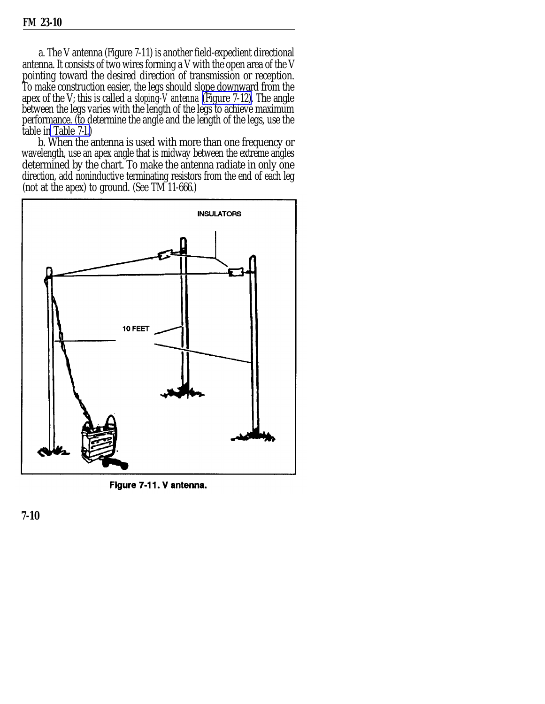a. The V antenna (Figure 7-11) is another field-expedient directional antenna. It consists of two wires forming a V with the open area of the V pointing toward the desired direction of transmission or reception. To make construction easier, the legs should slope downward from the apex of the V; this is called a *sloping-V antenna* [\(Figure 7-12\).](#page-10-0) The angle between the legs varies with the length of the legs to achieve maximum performance. (to determine the angle and the length of the legs, use the table in [Table 7-l.\)](#page-10-0)

b. When the antenna is used with more than one frequency or wavelength, use an apex angle that is midway between the extreme angles determined by the chart. To make the antenna radiate in only one direction, add noninductive terminating resistors from the end of each leg (not at the apex) to ground. (See TM 11-666.)



Figure 7-11. V antenna.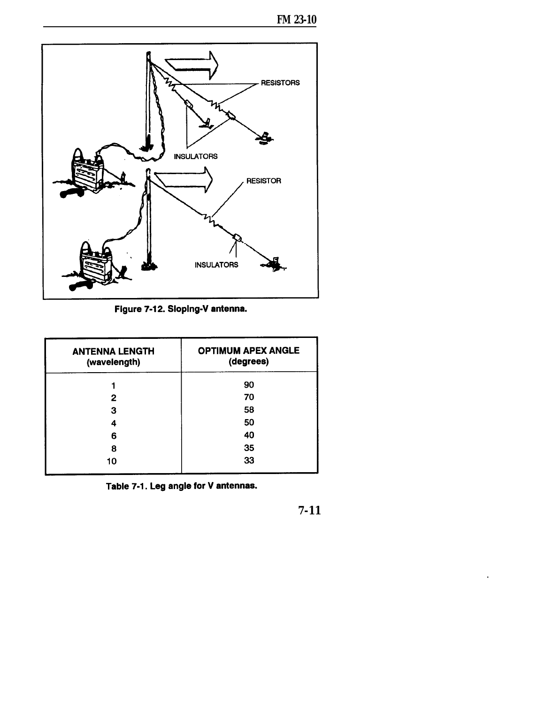<span id="page-10-0"></span>

Figure 7-12. Sloping-V antenna.

| <b>ANTENNA LENGTH</b><br>(wavelength) | <b>OPTIMUM APEX ANGLE</b><br>(degrees) |
|---------------------------------------|----------------------------------------|
|                                       | 90                                     |
| 2                                     | 70                                     |
| з                                     | 58                                     |
| 4                                     | 50                                     |
| 6                                     | 40                                     |
| 8                                     | 35                                     |
| 10                                    | 33                                     |

Table 7-1. Leg angle for V antennas.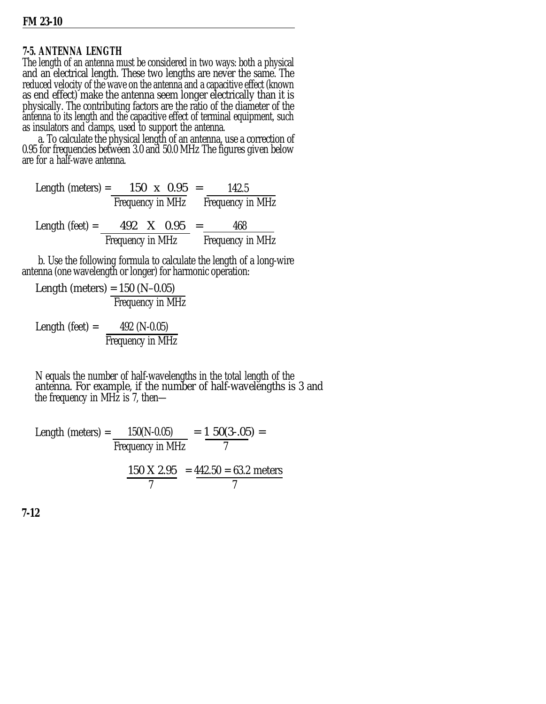### <span id="page-11-0"></span>**7-5. ANTENNA LENGTH**

The length of an antenna must be considered in two ways: both a physical and an electrical length. These two lengths are never the same. The reduced velocity of the wave on the antenna and a capacitive effect (known as end effect) make the antenna seem longer electrically than it is physically. The contributing factors are the ratio of the diameter of the antenna to its length and the capacitive effect of terminal equipment, such as insulators and clamps, used to support the antenna.

a. To calculate the physical length of an antenna, use a correction of 0.95 for frequencies between 3.0 and 50.0 MHz The figures given below are for a half-wave antenna.

Length (meters) = 
$$
\frac{150 \times 0.95}{\text{Frequency in MHz}} = \frac{142.5}{\text{Frequency in MHz}}
$$
  
Length (feet) = 
$$
\frac{492 \times 0.95}{\text{Frequency in MHz}} = \frac{468}{\text{Frequency in MHz}}
$$

b. Use the following formula to calculate the length of a long-wire antenna (one wavelength or longer) for harmonic operation:

Length (meters) = 
$$
150 \text{ (N-0.05)}
$$
  
Frequency in MHz

Length (feet) =  $492$  (N-0.05) Frequency in MHz

N equals the number of half-wavelengths in the total length of the antenna. For example, if the number of half-wavelengths is 3 and the frequency in MHz is 7, then—

Length (meters) = 
$$
\frac{150(N-0.05)}{\text{Frequency in MHz}} = \frac{1}{50(3-0.05)} = 7
$$

$$
\frac{150 \text{ X } 2.95}{7} = \frac{442.50 = 63.2 \text{ meters}}{7}
$$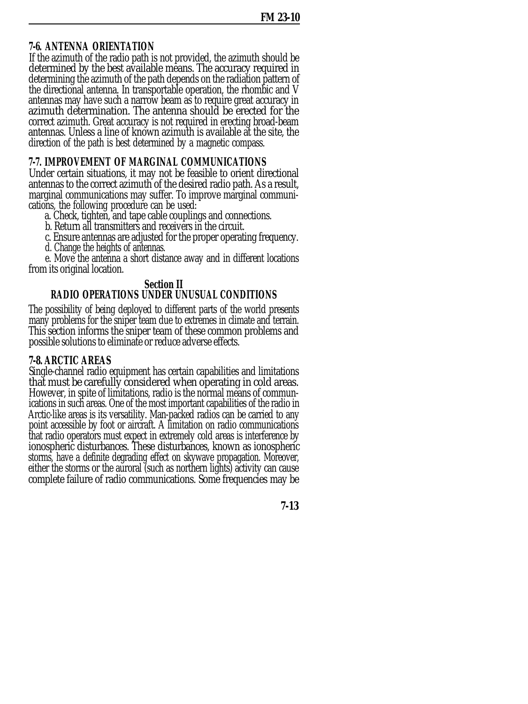# **7-6. ANTENNA ORIENTATION**

If the azimuth of the radio path is not provided, the azimuth should be determined by the best available means. The accuracy required in determining the azimuth of the path depends on the radiation pattern of the directional antenna. In transportable operation, the rhombic and V antennas may have such a narrow beam as to require great accuracy in azimuth determination. The antenna should be erected for the correct azimuth. Great accuracy is not required in erecting broad-beam antennas. Unless a line of known azimuth is available at the site, the direction of the path is best determined by a magnetic compass.

## **7-7. IMPROVEMENT OF MARGINAL COMMUNICATIONS**

Under certain situations, it may not be feasible to orient directional antennas to the correct azimuth of the desired radio path. As a result, marginal communications may suffer. To improve marginal communications, the following procedure can be used:

a. Check, tighten, and tape cable couplings and connections.

b. Return all transmitters and receivers in the circuit.

c. Ensure antennas are adjusted for the proper operating frequency.

d. Change the heights of antennas.

e. Move the antenna a short distance away and in different locations from its original location.

# **Section II**

# **RADIO OPERATIONS UNDER UNUSUAL CONDITIONS**

The possibility of being deployed to different parts of the world presents many problems for the sniper team due to extremes in climate and terrain. This section informs the sniper team of these common problems and possible solutions to eliminate or reduce adverse effects.

# **7-8. ARCTIC AREAS**

Single-channel radio equipment has certain capabilities and limitations that must be carefully considered when operating in cold areas. However, in spite of limitations, radio is the normal means of communications in such areas. One of the most important capabilities of the radio in Arctic-like areas is its versatility. Man-packed radios can be carried to any point accessible by foot or aircraft. A limitation on radio communications that radio operators must expect in extremely cold areas is interference by ionospheric disturbances. These disturbances, known as ionospheric storms, have a definite degrading effect on skywave propagation. Moreover, either the storms or the auroral (such as northern lights) activity can cause complete failure of radio communications. Some frequencies may be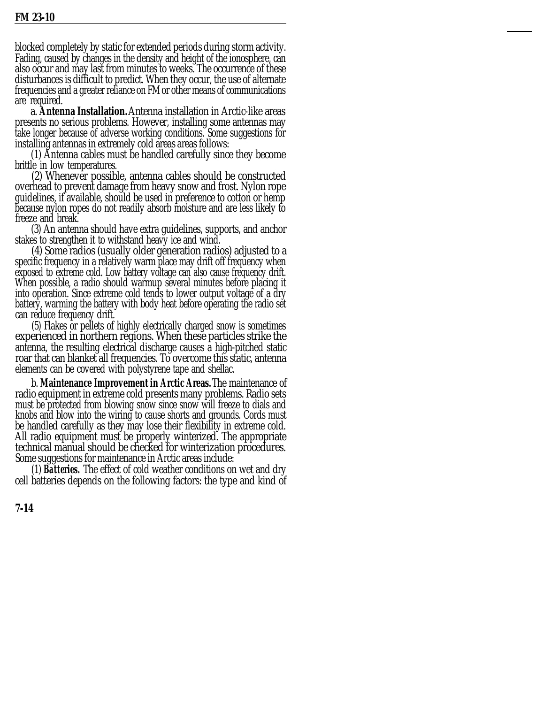blocked completely by static for extended periods during storm activity. Fading, caused by changes in the density and height of the ionosphere, can also occur and may last from minutes to weeks. The occurrence of these disturbances is difficult to predict. When they occur, the use of alternate frequencies and a greater reliance on FM or other means of communications are required.

a. **Antenna Installation.** Antenna installation in Arctic-like areas presents no serious problems. However, installing some antennas may take longer because of adverse working conditions. Some suggestions for installing antennas in extremely cold areas areas follows:

(1) Antenna cables must be handled carefully since they become brittle in low temperatures.

(2) Whenever possible, antenna cables should be constructed overhead to prevent damage from heavy snow and frost. Nylon rope guidelines, if available, should be used in preference to cotton or hemp because nylon ropes do not readily absorb moisture and are less likely to freeze and break.

(3) An antenna should have extra guidelines, supports, and anchor stakes to strengthen it to withstand heavy ice and wind.

(4) Some radios (usually older generation radios) adjusted to a specific frequency in a relatively warm place may drift off frequency when exposed to extreme cold. Low battery voltage can also cause frequency drift. When possible, a radio should warmup several minutes before placing it into operation. Since extreme cold tends to lower output voltage of a dry battery, warming the battery with body heat before operating the radio set can reduce frequency drift.

(5) Flakes or pellets of highly electrically charged snow is sometimes experienced in northern regions. When these particles strike the antenna, the resulting electrical discharge causes a high-pitched static roar that can blanket all frequencies. To overcome this static, antenna elements can be covered with polystyrene tape and shellac.

b. **Maintenance Improvement in Arctic Areas.** The maintenance of radio equipment in extreme cold presents many problems. Radio sets must be protected from blowing snow since snow will freeze to dials and knobs and blow into the wiring to cause shorts and grounds. Cords must be handled carefully as they may lose their flexibility in extreme cold. All radio equipment must be properly winterized. The appropriate technical manual should be checked for winterization procedures. Some suggestions for maintenance in Arctic areas include:

(1) *Batteries.* The effect of cold weather conditions on wet and dry cell batteries depends on the following factors: the type and kind of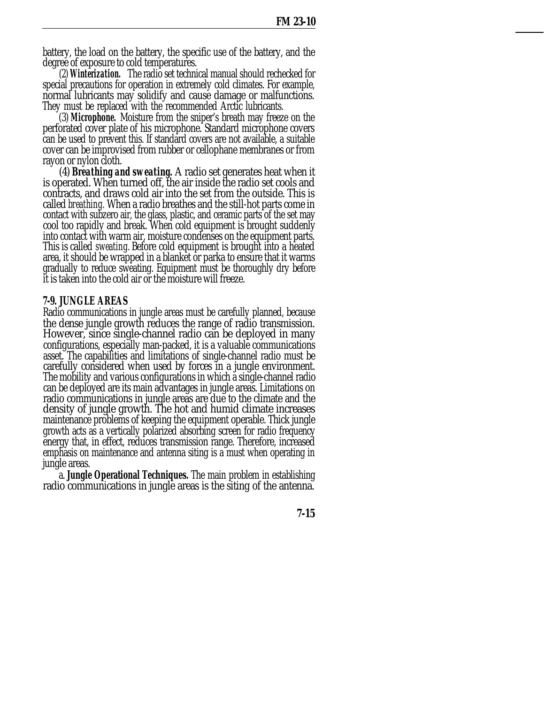battery, the load on the battery, the specific use of the battery, and the degree of exposure to cold temperatures.

(2) *Winterization.* The radio set technical manual should rechecked for special precautions for operation in extremely cold climates. For example, normal lubricants may solidify and cause damage or malfunctions. They must be replaced with the recommended Arctic lubricants.

(3) *Microphone.* Moisture from the sniper's breath may freeze on the perforated cover plate of his microphone. Standard microphone covers can be used to prevent this. If standard covers are not available, a suitable cover can be improvised from rubber or cellophane membranes or from rayon or nylon cloth.

(4) *Breathing and sweating.* A radio set generates heat when it is operated. When turned off, the air inside the radio set cools and contracts, and draws cold air into the set from the outside. This is called *breathing.* When a radio breathes and the still-hot parts come in contact with subzero air, the glass, plastic, and ceramic parts of the set may cool too rapidly and break. When cold equipment is brought suddenly into contact with warm air, moisture condenses on the equipment parts. This is called *sweating.* Before cold equipment is brought into a heated area, it should be wrapped in a blanket or parka to ensure that it warms gradually to reduce sweating. Equipment must be thoroughly dry before it is taken into the cold air or the moisture will freeze.

### **7-9. JUNGLE AREAS**

Radio communications in jungle areas must be carefully planned, because the dense jungle growth reduces the range of radio transmission. However, since single-channel radio can be deployed in many configurations, especially man-packed, it is a valuable communications asset. The capabilities and limitations of single-channel radio must be carefully considered when used by forces in a jungle environment. The mobility and various configurations in which a single-channel radio can be deployed are its main advantages in jungle areas. Limitations on radio communications in jungle areas are due to the climate and the density of jungle growth. The hot and humid climate increases maintenance problems of keeping the equipment operable. Thick jungle growth acts as a vertically polarized absorbing screen for radio frequency energy that, in effect, reduces transmission range. Therefore, increased emphasis on maintenance and antenna siting is a must when operating in jungle areas.

a. **Jungle Operational Techniques.** The main problem in establishing radio communications in jungle areas is the siting of the antenna.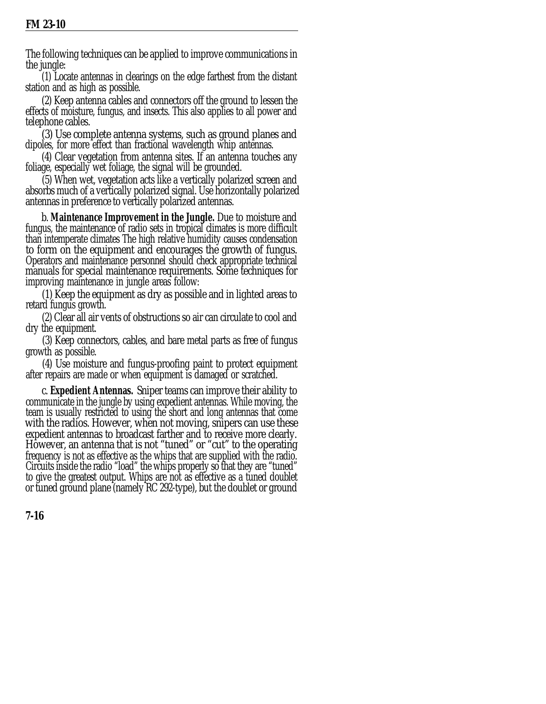The following techniques can be applied to improve communications in the jungle:

(1) Locate antennas in clearings on the edge farthest from the distant station and as high as possible.

(2) Keep antenna cables and connectors off the ground to lessen the effects of moisture, fungus, and insects. This also applies to all power and telephone cables.

(3) Use complete antenna systems, such as ground planes and dipoles, for more effect than fractional wavelength whip antennas.

(4) Clear vegetation from antenna sites. If an antenna touches any foliage, especially wet foliage, the signal will be grounded.

(5) When wet, vegetation acts like a vertically polarized screen and absorbs much of a vertically polarized signal. Use horizontally polarized antennas in preference to vertically polarized antennas.

b. **Maintenance Improvement in the Jungle.** Due to moisture and fungus, the maintenance of radio sets in tropical climates is more difficult than intemperate climates The high relative humidity causes condensation to form on the equipment and encourages the growth of fungus. Operators and maintenance personnel should check appropriate technical manuals for special maintenance requirements. Some techniques for improving maintenance in jungle areas follow:

(1) Keep the equipment as dry as possible and in lighted areas to retard fungus growth.

(2) Clear all air vents of obstructions so air can circulate to cool and dry the equipment.

(3) Keep connectors, cables, and bare metal parts as free of fungus growth as possible.

(4) Use moisture and fungus-proofing paint to protect equipment after repairs are made or when equipment is damaged or scratched.

c. **Expedient Antennas.** Sniper teams can improve their ability to communicate in the jungle by using expedient antennas. While moving, the team is usually restricted to using the short and long antennas that come with the radios. However, when not moving, snipers can use these expedient antennas to broadcast farther and to receive more clearly. However, an antenna that is not "tuned" or "cut" to the operating frequency is not as effective as the whips that are supplied with the radio. Circuits inside the radio "load" the whips properly so that they are "tuned" to give the greatest output. Whips are not as effective as a tuned doublet or tuned ground plane (namely RC 292-type), but the doublet or ground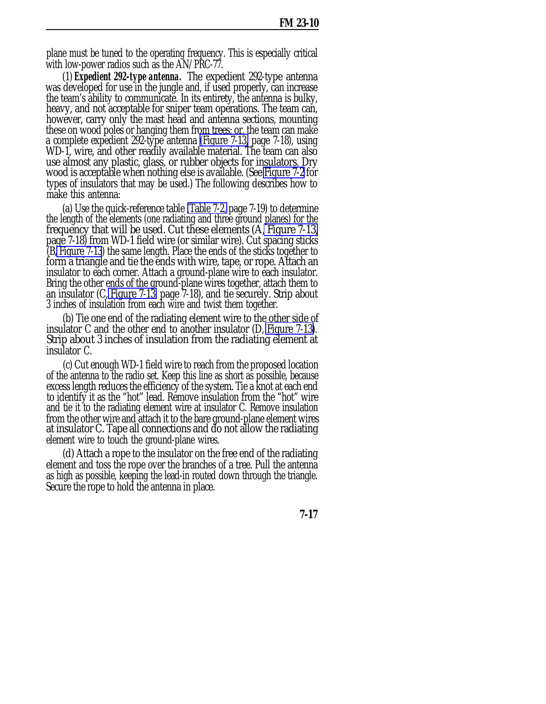<span id="page-16-0"></span>plane must be tuned to the operating frequency. This is especially critical with low-power radios such as the AN/PRC-77.

(1) *Expedient 292-type antenna.* The expedient 292-type antenna was developed for use in the jungle and, if used properly, can increase the team's ability to communicate. In its entirety, the antenna is bulky, heavy, and not acceptable for sniper team operations. The team can, however, carry only the mast head and antenna sections, mounting these on wood poles or hanging them from trees; or, the team can make a complete expedient 292-type antenna [\(Figure 7-13,](#page-17-0) page 7-18), using WD-1, wire, and other readily available material. The team can also use almost any plastic, glass, or rubber objects for insulators. Dry wood is acceptable when nothing else is available. (See [Figure 7-2](#page-2-0) for types of insulators that may be used.) The following describes how to make this antenna:

(a) Use the quick-reference table [\(Table 7-2,](#page-18-0) page 7-19) to determine the length of the elements (one radiating and three ground planes) for the frequency that will be used. Cut these elements (A[, Figure 7-13,](#page-17-0) page 7-18) from WD-1 field wire (or similar wire). Cut spacing sticks (B, [Figure 7-13](#page-17-0)) the same length. Place the ends of the sticks together to form a triangle and tie the ends with wire, tape, or rope. Attach an insulator to each corner. Attach a ground-plane wire to each insulator. Bring the other ends of the ground-plane wires together, attach them to an insulator (C, [Figure 7-13,](#page-17-0) page 7-18), and tie securely. Strip about 3 inches of insulation from each wire and twist them together.

(b) Tie one end of the radiating element wire to the other side of insulator C and the other end to another insulator (D, [Figure 7-13\)](#page-17-0). Strip about 3 inches of insulation from the radiating element at insulator C.

(c) Cut enough WD-1 field wire to reach from the proposed location of the antenna to the radio set. Keep this line as short as possible, because excess length reduces the efficiency of the system. Tie a knot at each end to identify it as the "hot" lead. Remove insulation from the "hot" wire and tie it to the radiating element wire at insulator C. Remove insulation from the other wire and attach it to the bare ground-plane element wires at insulator C. Tape all connections and do not allow the radiating element wire to touch the ground-plane wires.

(d) Attach a rope to the insulator on the free end of the radiating element and toss the rope over the branches of a tree. Pull the antenna as high as possible, keeping the lead-in routed down through the triangle. Secure the rope to hold the antenna in place.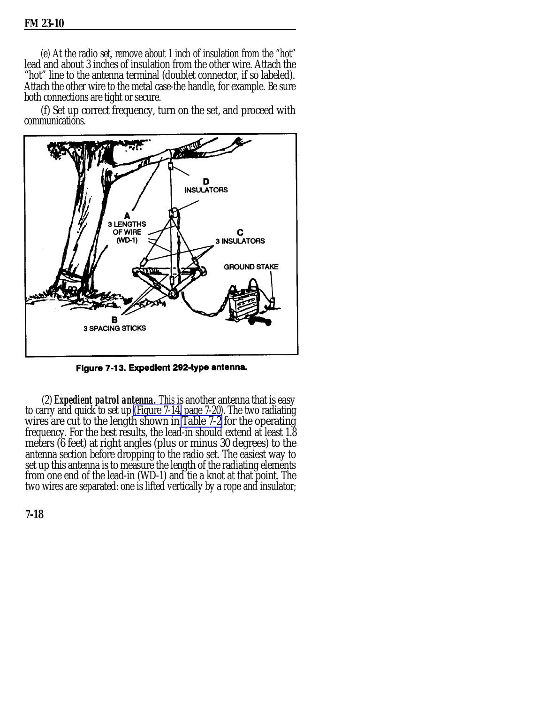<span id="page-17-0"></span>(e) At the radio set, remove about 1 inch of insulation from the "hot" lead and about 3 inches of insulation from the other wire. Attach the "hot" line to the antenna terminal (doublet connector, if so labeled). Attach the other wire to the metal case-the handle, for example. Be sure both connections are tight or secure.

(f) Set up correct frequency, turn on the set, and proceed with communications.



Flaure 7-13. Expedient 292-type antenna.

(2) *Expedient patrol antenna. This* is another antenna that is easy to carry and quick to set up [\(Figure 7-14,](#page-19-0) page 7-20). The two radiating wires are cut to the length shown in [Table 7-2](#page-18-0) for the operating frequency. For the best results, the lead-in should extend at least 1.8 meters (6 feet) at right angles (plus or minus 30 degrees) to the antenna section before dropping to the radio set. The easiest way to set up this antenna is to measure the length of the radiating elements from one end of the lead-in (WD-1) and tie a knot at that point. The two wires are separated: one is lifted vertically by a rope and insulator;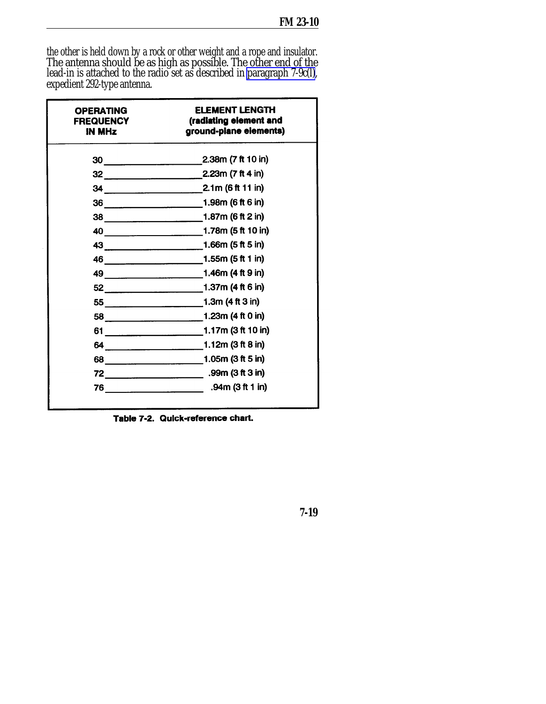<span id="page-18-0"></span>the other is held down by a rock or other weight and a rope and insulator. The antenna should be as high as possible. The other end of the lead-in is attached to the radio set as described in [paragraph 7-9c\(l\)](#page-16-0), expedient 292-type antenna.

| <b>OPERATING</b><br><b>FREQUENCY</b><br>IN MHz | ELEMENT LENGTH<br>(radiating element and<br>ground-plane elements) |
|------------------------------------------------|--------------------------------------------------------------------|
| $30$                                           | 2.38m $(7 ft 10 in)$                                               |
|                                                | 32 2.23m (7 ft 4 in)                                               |
| 34                                             | 2.1m (6 ft 11 in)                                                  |
|                                                | 36 1.98m (6 ft 6 in)                                               |
|                                                |                                                                    |
|                                                | 40 1.78m (5 ft 10 in)                                              |
|                                                | 43 1.66m (5 ft 5 in)                                               |
|                                                | 46 1.55m (5 ft 1 in)                                               |
|                                                | 49 1.46m (4 ft 9 in)                                               |
|                                                | 52 1.37m (4 ft 6 in)                                               |
|                                                |                                                                    |
|                                                | 58 1.23m (4 ft 0 in)                                               |
| 61                                             | 1.17m (3 ft 10 in)                                                 |
|                                                | 64 1.12m (3 ft 8 in)                                               |
|                                                |                                                                    |
|                                                |                                                                    |
|                                                | .94 $m$ (3 ft 1 in)                                                |

Table 7-2. Quick-reference chart.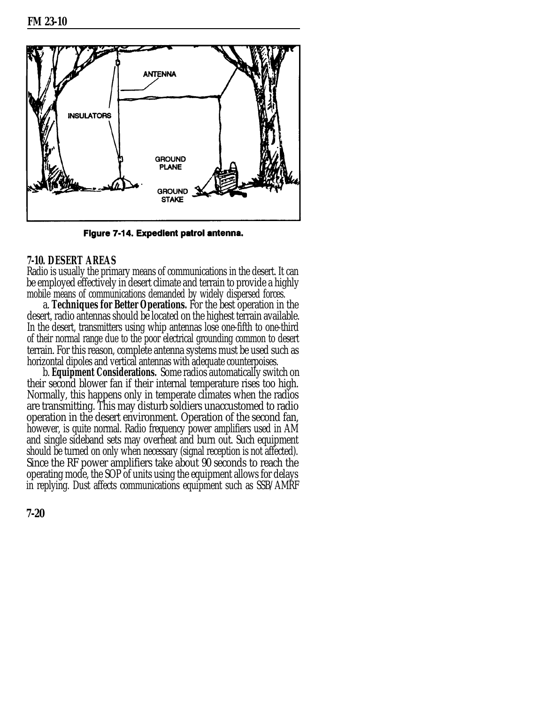<span id="page-19-0"></span>

Figure 7-14. Expedient patrol antenna.

#### **7-10. DESERT AREAS**

Radio is usually the primary means of communications in the desert. It can be employed effectively in desert climate and terrain to provide a highly mobile means of communications demanded by widely dispersed forces.

a. **Techniques for Better Operations.** For the best operation in the desert, radio antennas should be located on the highest terrain available. In the desert, transmitters using whip antennas lose one-fifth to one-third of their normal range due to the poor electrical grounding common to desert terrain. For this reason, complete antenna systems must be used such as horizontal dipoles and vertical antennas with adequate counterpoises.

b. **Equipment Considerations.** Some radios automatically switch on their second blower fan if their internal temperature rises too high. Normally, this happens only in temperate climates when the radios are transmitting. This may disturb soldiers unaccustomed to radio operation in the desert environment. Operation of the second fan, however, is quite normal. Radio frequency power amplifiers used in AM and single sideband sets may overheat and burn out. Such equipment should be turned on only when necessary (signal reception is not affected). Since the RF power amplifiers take about 90 seconds to reach the operating mode, the SOP of units using the equipment allows for delays in replying. Dust affects communications equipment such as SSB/AMRF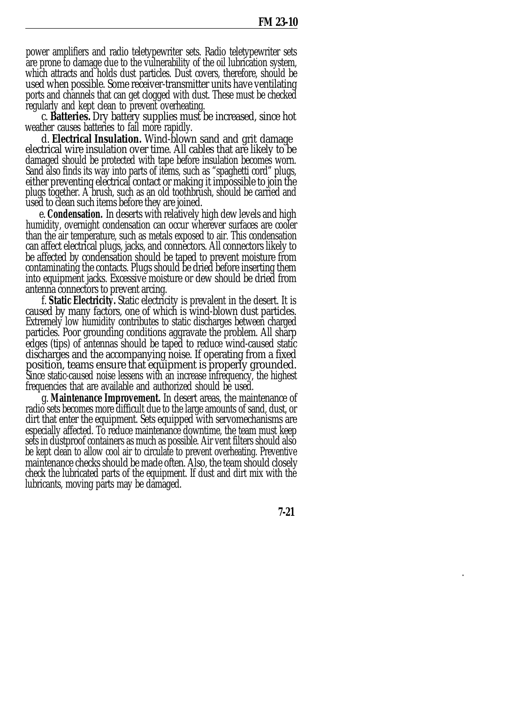power amplifiers and radio teletypewriter sets. Radio teletypewriter sets are prone to damage due to the vulnerability of the oil lubrication system, which attracts and holds dust particles. Dust covers, therefore, should be used when possible. Some receiver-transmitter units have ventilating ports and channels that can get clogged with dust. These must be checked regularly and kept clean to prevent overheating.

c. **Batteries.** Dry battery supplies must be increased, since hot weather causes batteries to fail more rapidly.

d. **Electrical Insulation.** Wind-blown sand and grit damage electrical wire insulation over time. All cables that are likely to be damaged should be protected with tape before insulation becomes worn. Sand also finds its way into parts of items, such as "spaghetti cord" plugs, either preventing electrical contact or making it impossible to join the plugs together. A brush, such as an old toothbrush, should be carried and used to clean such items before they are joined.

e. **Condensation.** In deserts with relatively high dew levels and high humidity, overnight condensation can occur wherever surfaces are cooler than the air temperature, such as metals exposed to air. This condensation can affect electrical plugs, jacks, and connectors. All connectors likely to be affected by condensation should be taped to prevent moisture from contaminating the contacts. Plugs should be dried before inserting them into equipment jacks. Excessive moisture or dew should be dried from antenna connectors to prevent arcing.

f. **Static Electricity.** Static electricity is prevalent in the desert. It is caused by many factors, one of which is wind-blown dust particles. Extremely low humidity contributes to static discharges between charged particles. Poor grounding conditions aggravate the problem. All sharp edges (tips) of antennas should be taped to reduce wind-caused static discharges and the accompanying noise. If operating from a fixed position, teams ensure that equipment is properly grounded. Since static-caused noise lessens with an increase infrequency, the highest frequencies that are available and authorized should be used.

g. **Maintenance Improvement.** In desert areas, the maintenance of radio sets becomes more difficult due to the large amounts of sand, dust, or dirt that enter the equipment. Sets equipped with servomechanisms are especially affected. To reduce maintenance downtime, the team must keep sets in dustproof containers as much as possible. Air vent filters should also be kept clean to allow cool air to circulate to prevent overheating. Preventive maintenance checks should be made often. Also, the team should closely check the lubricated parts of the equipment. If dust and dirt mix with the lubricants, moving parts may be damaged.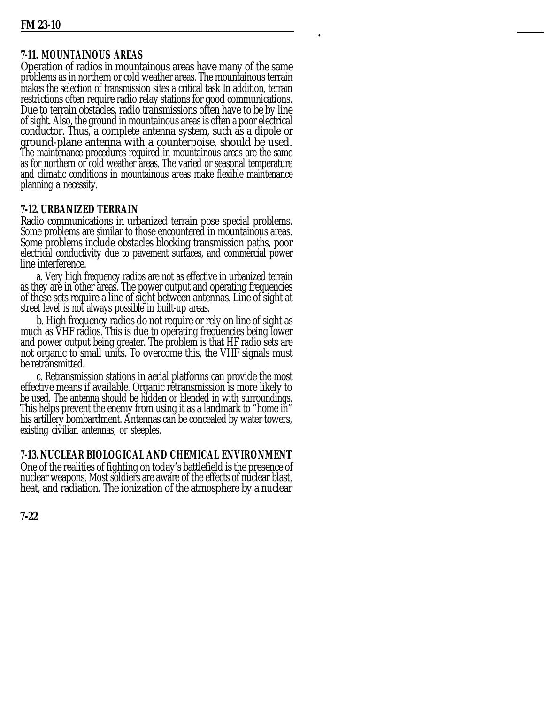# **7-11. MOUNTAINOUS AREAS**

Operation of radios in mountainous areas have many of the same problems as in northern or cold weather areas. The mountainous terrain makes the selection of transmission sites a critical task In addition, terrain restrictions often require radio relay stations for good communications. Due to terrain obstacles, radio transmissions often have to be by line of sight. Also, the ground in mountainous areas is often a poor electrical conductor. Thus, a complete antenna system, such as a dipole or ground-plane antenna with a counterpoise, should be used. The maintenance procedures required in mountainous areas are the same as for northern or cold weather areas. The varied or seasonal temperature and climatic conditions in mountainous areas make flexible maintenance planning a necessity.

**.**

### **7-12. URBANIZED TERRAIN**

Radio communications in urbanized terrain pose special problems. Some problems are similar to those encountered in mountainous areas. Some problems include obstacles blocking transmission paths, poor electrical conductivity due to pavement surfaces, and commercial power line interference.

a. Very high frequency radios are not as effective in urbanized terrain as they are in other areas. The power output and operating frequencies of these sets require a line of sight between antennas. Line of sight at street level is not always possible in built-up areas.

b. High frequency radios do not require or rely on line of sight as much as VHF radios. This is due to operating frequencies being lower and power output being greater. The problem is that HF radio sets are not organic to small units. To overcome this, the VHF signals must be retransmitted.

c. Retransmission stations in aerial platforms can provide the most effective means if available. Organic retransmission is more likely to be used. The antenna should be hidden or blended in with surroundings. This helps prevent the enemy from using it as a landmark to "home in" his artillery bombardment. Antennas can be concealed by water towers, existing civilian antennas, or steeples.

### **7-13. NUCLEAR BIOLOGICAL AND CHEMICAL ENVIRONMENT**

One of the realities of fighting on today's battlefield is the presence of nuclear weapons. Most soldiers are aware of the effects of nuclear blast, heat, and radiation. The ionization of the atmosphere by a nuclear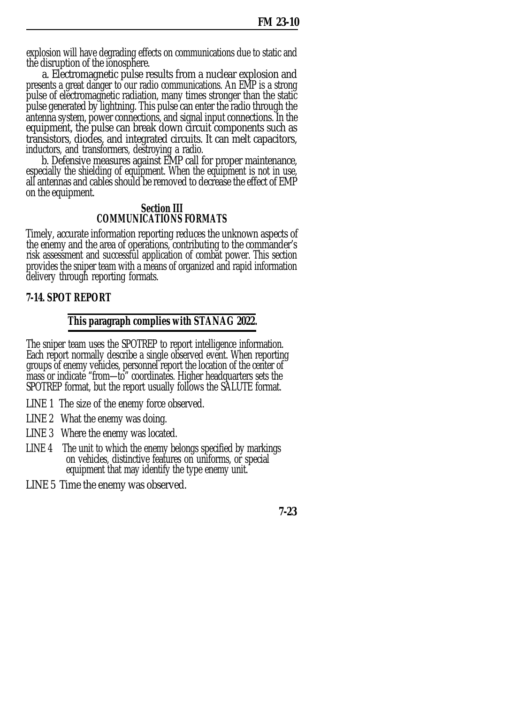explosion will have degrading effects on communications due to static and the disruption of the ionosphere.

a. Electromagnetic pulse results from a nuclear explosion and presents a great danger to our radio communications. An EMP is a strong pulse of electromagnetic radiation, many times stronger than the static pulse generated by lightning. This pulse can enter the radio through the antenna system, power connections, and signal input connections. In the equipment, the pulse can break down circuit components such as transistors, diodes, and integrated circuits. It can melt capacitors, inductors, and transformers, destroying a radio.

b. Defensive measures against EMP call for proper maintenance, especially the shielding of equipment. When the equipment is not in use, all antennas and cables should be removed to decrease the effect of EMP on the equipment.

#### **Section III COMMUNICATIONS FORMATS**

Timely, accurate information reporting reduces the unknown aspects of the enemy and the area of operations, contributing to the commander's risk assessment and successful application of combat power. This section provides the sniper team with a means of organized and rapid information delivery through reporting formats.

### **7-14. SPOT REPORT**

# **This paragraph complies with STANAG 2022.**

The sniper team uses the SPOTREP to report intelligence information. Each report normally describe a single observed event. When reporting groups of enemy vehicles, personnel report the location of the center of mass or indicate "from—to" coordinates. Higher headquarters sets the SPOTREP format, but the report usually follows the SALUTE format.

- LINE 1 The size of the enemy force observed.
- LINE 2 What the enemy was doing.
- LINE 3 Where the enemy was located.
- LINE 4 The unit to which the enemy belongs specified by markings on vehicles, distinctive features on uniforms, or special equipment that may identify the type enemy unit.

LINE 5 Time the enemy was observed.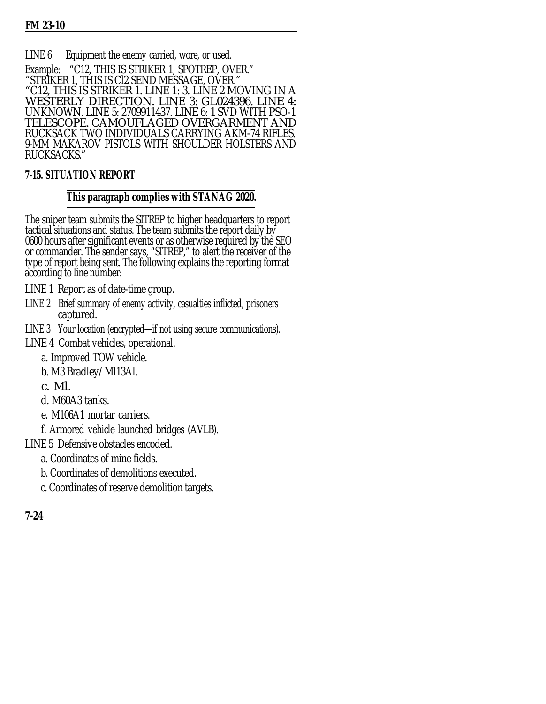LINE 6 Equipment the enemy carried, wore, or used.

Example: "C12, THIS IS STRIKER 1, SPOTREP, OVER."

"STRIKER 1, THIS IS Cl2 SEND MESSAGE, OVER."

"C12, THIS IS STRIKER 1. LINE 1: 3. LINE 2 MOVING IN A WESTERLY DIRECTION. LINE 3: GL024396. LINE 4: UNKNOWN. LINE 5: 2709911437. LINE 6: 1 SVD WITH PSO-1 TELESCOPE. CAMOUFLAGED OVERGARMENT AND RUCKSACK TWO INDIVIDUALS CARRYING AKM-74 RIFLES. 9-MM MAKAROV PISTOLS WITH SHOULDER HOLSTERS AND RUCKSACKS"

# **7-15. SITUATION REPORT**

# **This paragraph complies with STANAG 2020.**

The sniper team submits the SITREP to higher headquarters to report tactical situations and status. The team submits the report daily by 0600 hours after significant events or as otherwise required by the SEO or commander. The sender says, "SITREP," to alert the receiver of the type of report being sent. The following explains the reporting format according to line number:

- LINE 1 Report as of date-time group.
- LINE 2 Brief summary of enemy activity, casualties inflicted, prisoners captured.
- LINE 3 Your location (encrypted—if not using secure communications).
- LINE 4 Combat vehicles, operational.

a. Improved TOW vehicle.

- b. M3 Bradley/Ml13Al.
- c. Ml.

d. M60A3 tanks.

- e. M106A1 mortar carriers.
- f. Armored vehicle launched bridges (AVLB).

LINE 5 Defensive obstacles encoded.

- a. Coordinates of mine fields.
- b. Coordinates of demolitions executed.
- c. Coordinates of reserve demolition targets.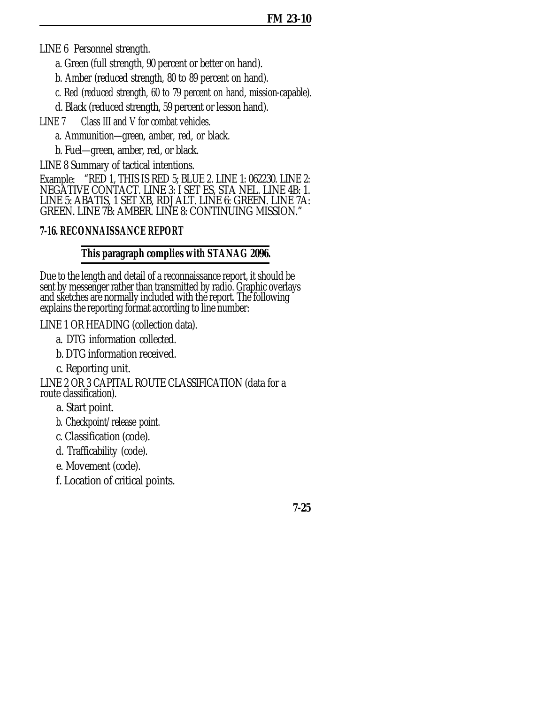LINE 6 Personnel strength.

- a. Green (full strength, 90 percent or better on hand).
- b. Amber (reduced strength, 80 to 89 percent on hand).
- c. Red (reduced strength, 60 to 79 percent on hand, mission-capable).
- d. Black (reduced strength, 59 percent or lesson hand).

LINE 7 Class III and V for combat vehicles.

- a. Ammunition—green, amber, red, or black.
- b. Fuel—green, amber, red, or black.

LINE 8 Summary of tactical intentions.

Example: "RED 1, THIS IS RED 5; BLUE 2. LINE 1: 062230. LINE 2: NEGATIVE CONTACT. LINE 3: I SET ES, STA NEL. LINE 4B: 1. LINE 5: ABATIS, 1 SET XB, RDJ ALT. LINE 6: GREEN. LINE 7A: GREEN. LINE 7B: AMBER. LINE 8: CONTINUING MISSION."

## **7-16. RECONNAISSANCE REPORT**

# **This paragraph complies with STANAG 2096.**

Due to the length and detail of a reconnaissance report, it should be sent by messenger rather than transmitted by radio. Graphic overlays and sketches are normally included with the report. The following explains the reporting format according to line number:

LINE 1 OR HEADING (collection data).

a. DTG information collected.

b. DTG information received.

c. Reporting unit.

LINE 2 OR 3 CAPITAL ROUTE CLASSIFICATION (data for a route classification).

a. Start point.

b. Checkpoint/release point.

c. Classification (code).

d. Trafficability (code).

e. Movement (code).

f. Location of critical points.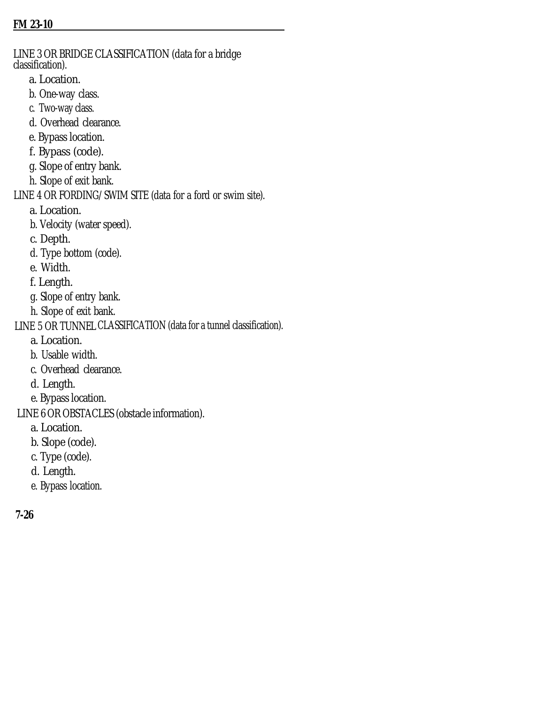LINE 3 OR BRIDGE CLASSIFICATION (data for a bridge classification).

- a. Location.
- b. One-way class.
- c. Two-way class.
- d. Overhead clearance.
- e. Bypass location.
- f. Bypass (code).
- g. Slope of entry bank.
- h. Slope of exit bank.

LINE 4 OR FORDING/SWIM SITE (data for a ford or swim site).

- a. Location.
- b. Velocity (water speed).
- c. Depth.
- d. Type bottom (code).
- e. Width.
- f. Length.
- g. Slope of entry bank.
- h. Slope of exit bank.

LINE 5 OR TUNNEL CLASSIFICATION (data for a tunnel classification).

- a. Location.
- b. Usable width.
- c. Overhead clearance.
- d. Length.
- e. Bypass location.

LINE 6 OR OBSTACLES (obstacle information).

- a. Location.
- b. Slope (code).
- c. Type (code).
- d. Length.
- e. Bypass location.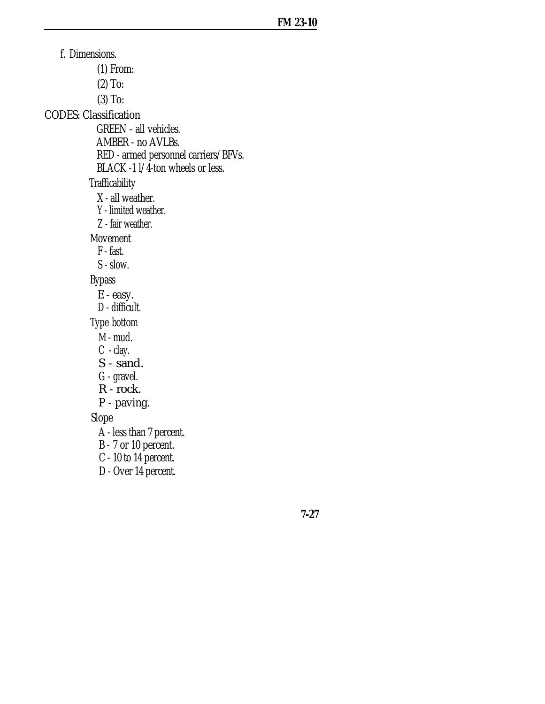f. Dimensions.

(1) From:

(2) To:

(3) To:

CODES: Classification

GREEN - all vehicles.

AMBER - no AVLBs.

RED - armed personnel carriers/BFVs.

BLACK -1 l/4-ton wheels or less.

**Trafficability** 

X - all weather.

Y - limited weather.

Z - fair weather.

Movement

F - fast.

S - slow.

Bypass

E - easy.

D - difficult.

Type bottom

- M mud.
- C clay.
- S sand.
- G gravel.
- R rock.
- P paving.

#### Slope

- A less than 7 percent.
- B 7 or 10 percent.
- C 10 to 14 percent.
- D Over 14 percent.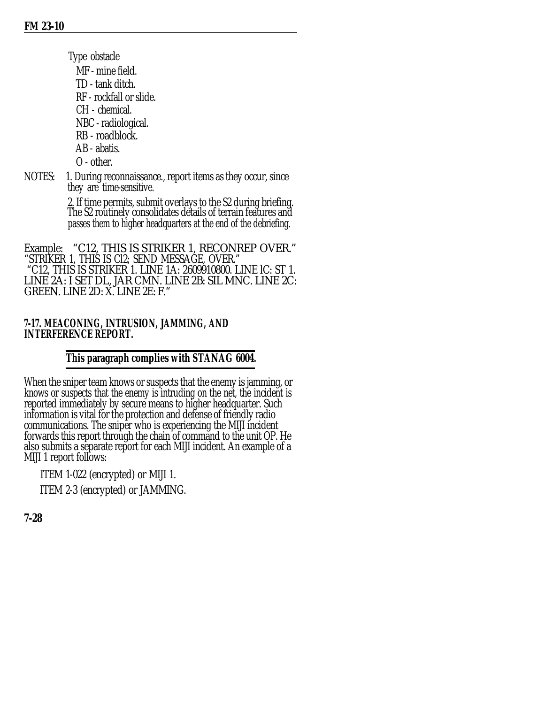Type obstacle

MF - mine field.

TD - tank ditch.

RF - rockfall or slide.

CH - chemical.

NBC - radiological.

- RB roadblock.
- AB abatis.
- O other.

NOTES: 1. During reconnaissance., report items as they occur, since they are time-sensitive.

> 2. If time permits, submit overlays to the S2 during briefing. The S2 routinely consolidates details of terrain features and passes them to higher headquarters at the end of the debriefing.

Example: "C12, THIS IS STRIKER 1, RECONREP OVER." "STRIKER 1, THIS IS Cl2; SEND MESSAGE, OVER." "C12, THIS IS STRIKER 1. LINE 1A: 2609910800. LINE lC: ST 1. LINE 2A: I SET DL, JAR CMN. LINE 2B: SIL MNC. LINE 2C: GREEN. LINE 2D: X. LINE 2E: F."

### **7-17. MEACONING, INTRUSION, JAMMING, AND INTERFERENCE REPORT.**

# **This paragraph complies with STANAG 6004.**

When the sniper team knows or suspects that the enemy is jamming, or knows or suspects that the enemy is intruding on the net, the incident is reported immediately by secure means to higher headquarter. Such information is vital for the protection and defense of friendly radio communications. The sniper who is experiencing the MIJI incident forwards this report through the chain of command to the unit OP. He also submits a separate report for each MIJI incident. An example of a MIJI 1 report follows:

ITEM 1-022 (encrypted) or MIJI 1. ITEM 2-3 (encrypted) or JAMMING.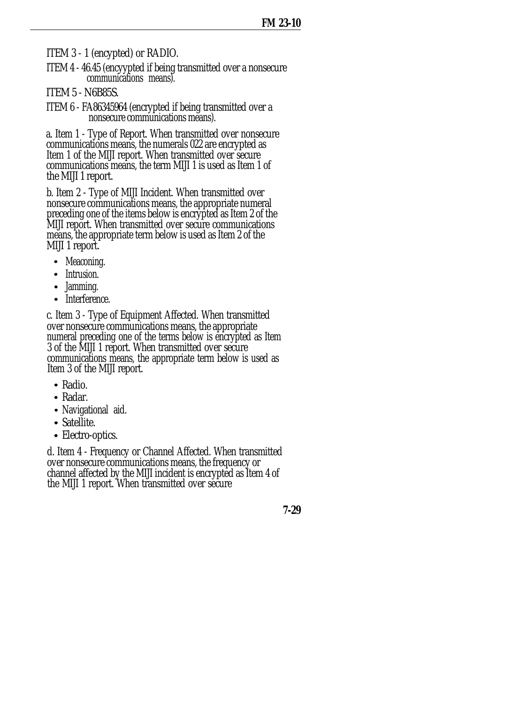- ITEM 3 1 (encypted) or RADIO.
- ITEM 4 46.45 (encyypted if being transmitted over a nonsecure communications means).
- ITEM 5 N6B85S.
- ITEM 6 FA86345964 (encrypted if being transmitted over a nonsecure communications means).

a. Item 1 - Type of Report. When transmitted over nonsecure communications means, the numerals 022 are encrypted as Item 1 of the MIJI report. When transmitted over secure communications means, the term MIJI 1 is used as Item 1 of the MIJI 1 report.

b. Item 2 - Type of MIJI Incident. When transmitted over nonsecure communications means, the appropriate numeral preceding one of the items below is encrypted as Item 2 of the MIJI report. When transmitted over secure communications means, the appropriate term below is used as Item 2 of the MIJI 1 report.

- Meaconing.
- Intrusion.
- Jamming.
- Interference.

c. Item 3 - Type of Equipment Affected. When transmitted over nonsecure communications means, the appropriate numeral preceding one of the terms below is encrypted as Item 3 of the MIJI 1 report. When transmitted over secure communications means, the appropriate term below is used as Item 3 of the MIJI report.

- Radio.
- Radar.
- Navigational aid.
- Satellite.
- Electro-optics.

d. Item 4 - Frequency or Channel Affected. When transmitted over nonsecure communications means, the frequency or channel affected by the MIJI incident is encrypted as Item 4 of the MIJI 1 report. When transmitted over secure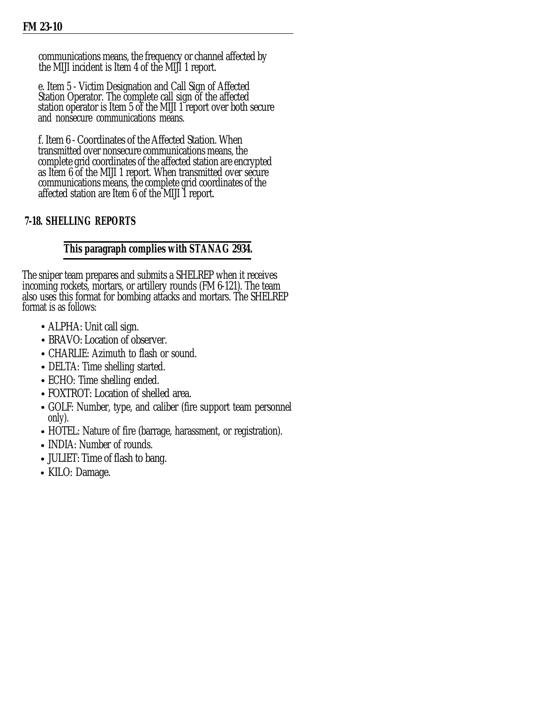communications means, the frequency or channel affected by the MIJI incident is Item 4 of the MIJI 1 report.

e. Item 5 - Victim Designation and Call Sign of Affected Station Operator. The complete call sign of the affected station operator is Item 5 of the MIJI 1 report over both secure and nonsecure communications means.

f. Item 6 - Coordinates of the Affected Station. When transmitted over nonsecure communications means, the complete grid coordinates of the affected station are encrypted as Item 6 of the MIJI 1 report. When transmitted over secure communications means, the complete grid coordinates of the affected station are Item 6 of the MIJI 1 report.

# **7-18. SHELLING REPORTS**

# **This paragraph complies with STANAG 2934.**

The sniper team prepares and submits a SHELREP when it receives incoming rockets, mortars, or artillery rounds (FM 6-121). The team also uses this format for bombing attacks and mortars. The SHELREP format is as follows:

- ALPHA: Unit call sign.
- BRAVO: Location of observer.
- CHARLIE: Azimuth to flash or sound.
- DELTA: Time shelling started.
- ECHO: Time shelling ended.
- FOXTROT: Location of shelled area.
- GOLF: Number, type, and caliber (fire support team personnel only).
- HOTEL: Nature of fire (barrage, harassment, or registration).
- INDIA: Number of rounds.
- JULIET: Time of flash to bang.
- KILO: Damage.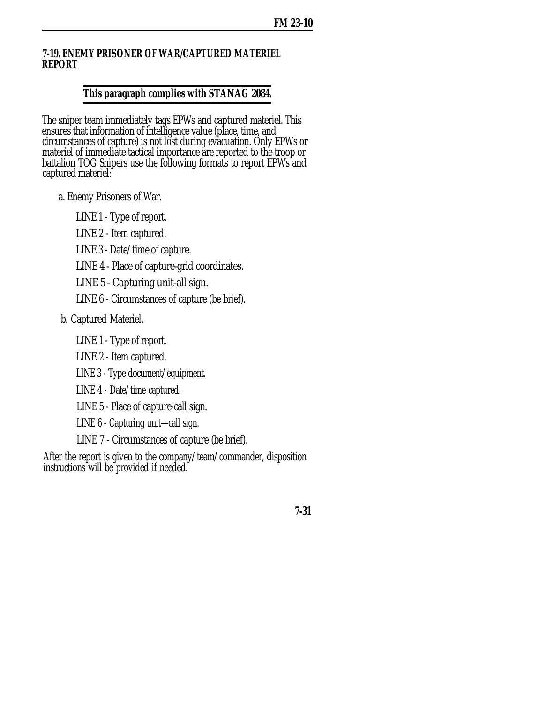#### **7-19. ENEMY PRISONER OF WAR/CAPTURED MATERIEL REPORT**

## **This paragraph complies with STANAG 2084.**

The sniper team immediately tags EPWs and captured materiel. This ensures that information of intelligence value (place, time, and circumstances of capture) is not lost during evacuation. Only EPWs or materiel of immediate tactical importance are reported to the troop or battalion TOG Snipers use the following formats to report EPWs and captured materiel:

- a. Enemy Prisoners of War.
	- LINE 1 Type of report.
	- LINE 2 Item captured.
	- LINE 3 Date/time of capture.
	- LINE 4 Place of capture-grid coordinates.
	- LINE 5 Capturing unit-all sign.
	- LINE 6 Circumstances of capture (be brief).
- b. Captured Materiel.
	- LINE 1 Type of report.
	- LINE 2 Item captured.
	- LINE 3 Type document/equipment.
	- LINE 4 Date/time captured.
	- LINE 5 Place of capture-call sign.
	- LINE 6 Capturing unit—call sign.
	- LINE 7 Circumstances of capture (be brief).

After the report is given to the company/team/commander, disposition instructions will be provided if needed.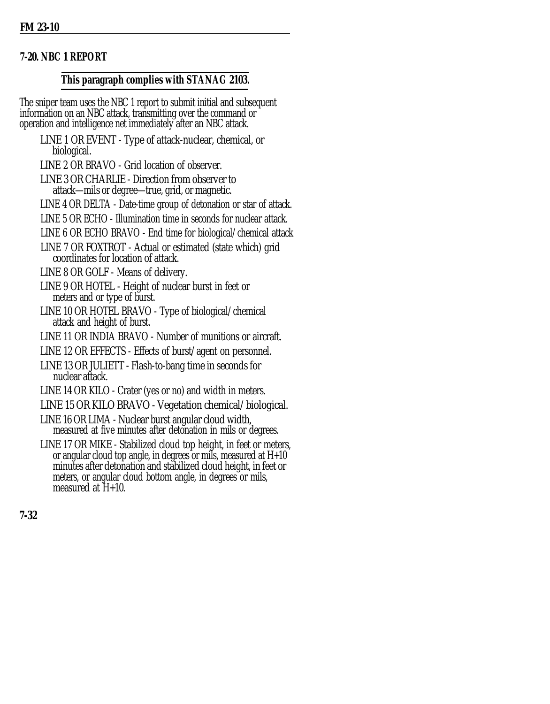#### **7-20. NBC 1 REPORT**

### **This paragraph complies with STANAG 2103.**

The sniper team uses the NBC 1 report to submit initial and subsequent information on an NBC attack, transmitting over the command or operation and intelligence net immediately after an NBC attack.

- LINE 1 OR EVENT Type of attack-nuclear, chemical, or biological.
- LINE 2 OR BRAVO Grid location of observer.
- LINE 3 OR CHARLIE Direction from observer to attack—mils or degree—true, grid, or magnetic.
- LINE 4 OR DELTA Date-time group of detonation or star of attack.
- LINE 5 OR ECHO Illumination time in seconds for nuclear attack.
- LINE 6 OR ECHO BRAVO End time for biological/chemical attack
- LINE 7 OR FOXTROT Actual or estimated (state which) grid coordinates for location of attack.
- LINE 8 OR GOLF Means of delivery.
- LINE 9 OR HOTEL Height of nuclear burst in feet or meters and or type of burst.
- LINE 10 OR HOTEL BRAVO Type of biological/chemical attack and height of burst.
- LINE 11 OR INDIA BRAVO Number of munitions or aircraft.
- LINE 12 OR EFFECTS Effects of burst/agent on personnel.
- LINE 13 OR JULIETT Flash-to-bang time in seconds for nuclear attack.
- LINE 14 OR KILO Crater (yes or no) and width in meters.
- LINE 15 OR KILO BRAVO Vegetation chemical/biological.
- LINE 16 OR LIMA Nuclear burst angular cloud width, measured at five minutes after detonation in mils or degrees.
- LINE 17 OR MIKE Stabilized cloud top height, in feet or meters, or angular cloud top angle, in degrees or mils, measured at H+10 minutes after detonation and stabilized cloud height, in feet or meters, or angular cloud bottom angle, in degrees or mils, measured at H+10.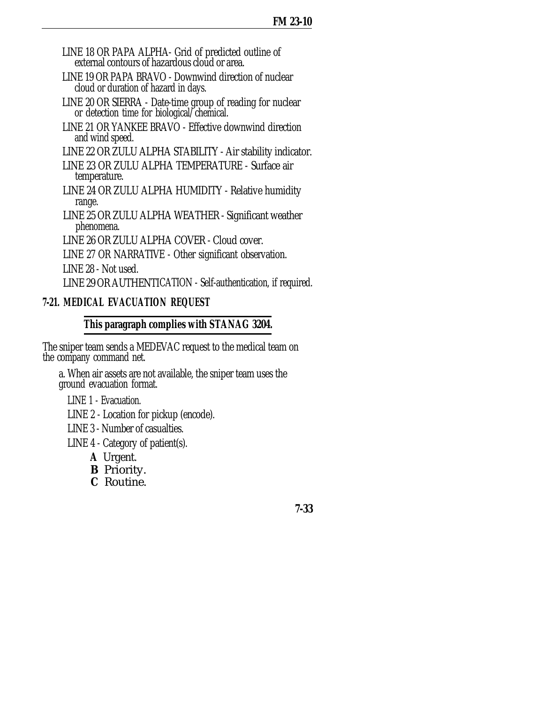- LINE 18 OR PAPA ALPHA- Grid of predicted outline of external contours of hazardous cloud or area.
- LINE 19 OR PAPA BRAVO Downwind direction of nuclear cloud or duration of hazard in days.
- LINE 20 OR SIERRA Date-time group of reading for nuclear or detection time for biological/chemical.
- LINE 21 OR YANKEE BRAVO Effective downwind direction and wind speed.
- LINE 22 OR ZULU ALPHA STABILITY Air stability indicator.
- LINE 23 OR ZULU ALPHA TEMPERATURE Surface air temperature.
- LINE 24 OR ZULU ALPHA HUMIDITY Relative humidity range.
- LINE 25 OR ZULU ALPHA WEATHER Significant weather phenomena.

LINE 26 OR ZULU ALPHA COVER - Cloud cover.

LINE 27 OR NARRATIVE - Other significant observation.

LINE 28 - Not used.

LINE 29 OR AUTHENTICATION - Self-authentication, if required.

### **7-21. MEDICAL EVACUATION REQUEST**

# **This paragraph complies with STANAG 3204.**

The sniper team sends a MEDEVAC request to the medical team on the company command net.

a. When air assets are not available, the sniper team uses the ground evacuation format.

LINE 1 - Evacuation.

- LINE 2 Location for pickup (encode).
- LINE 3 Number of casualties.
- LINE 4 Category of patient(s).
	- **A** Urgent.
	- **B** Priority.
	- **C** Routine.